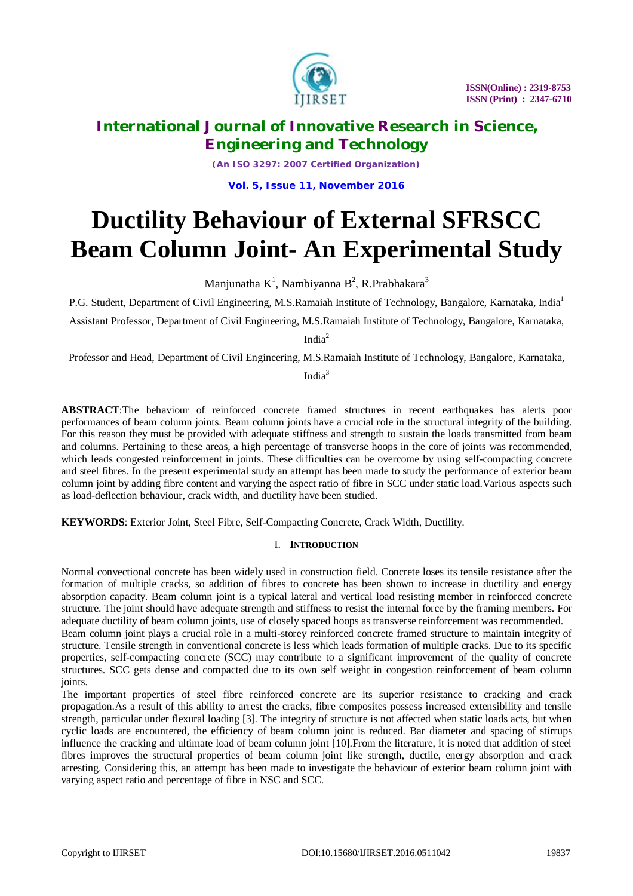

*(An ISO 3297: 2007 Certified Organization)*

**Vol. 5, Issue 11, November 2016**

# **Ductility Behaviour of External SFRSCC Beam Column Joint- An Experimental Study**

Manjunatha  $K^1$ , Nambiyanna B<sup>2</sup>, R.Prabhakara<sup>3</sup>

P.G. Student, Department of Civil Engineering, M.S.Ramaiah Institute of Technology, Bangalore, Karnataka*,* India<sup>1</sup> Assistant Professor, Department of Civil Engineering, M.S.Ramaiah Institute of Technology, Bangalore, Karnataka,

India<sup>2</sup>

Professor and Head, Department of Civil Engineering, M.S.Ramaiah Institute of Technology, Bangalore, Karnataka, India<sup>3</sup>

**ABSTRACT**:The behaviour of reinforced concrete framed structures in recent earthquakes has alerts poor performances of beam column joints. Beam column joints have a crucial role in the structural integrity of the building. For this reason they must be provided with adequate stiffness and strength to sustain the loads transmitted from beam and columns. Pertaining to these areas, a high percentage of transverse hoops in the core of joints was recommended, which leads congested reinforcement in joints. These difficulties can be overcome by using self-compacting concrete and steel fibres. In the present experimental study an attempt has been made to study the performance of exterior beam column joint by adding fibre content and varying the aspect ratio of fibre in SCC under static load.Various aspects such as load-deflection behaviour, crack width, and ductility have been studied.

**KEYWORDS**: Exterior Joint, Steel Fibre, Self-Compacting Concrete, Crack Width, Ductility.

### I. **INTRODUCTION**

Normal convectional concrete has been widely used in construction field. Concrete loses its tensile resistance after the formation of multiple cracks, so addition of fibres to concrete has been shown to increase in ductility and energy absorption capacity. Beam column joint is a typical lateral and vertical load resisting member in reinforced concrete structure. The joint should have adequate strength and stiffness to resist the internal force by the framing members. For adequate ductility of beam column joints, use of closely spaced hoops as transverse reinforcement was recommended.

Beam column joint plays a crucial role in a multi-storey reinforced concrete framed structure to maintain integrity of structure. Tensile strength in conventional concrete is less which leads formation of multiple cracks. Due to its specific properties, self-compacting concrete (SCC) may contribute to a significant improvement of the quality of concrete structures. SCC gets dense and compacted due to its own self weight in congestion reinforcement of beam column joints.

The important properties of steel fibre reinforced concrete are its superior resistance to cracking and crack propagation.As a result of this ability to arrest the cracks, fibre composites possess increased extensibility and tensile strength, particular under flexural loading [3]. The integrity of structure is not affected when static loads acts, but when cyclic loads are encountered, the efficiency of beam column joint is reduced. Bar diameter and spacing of stirrups influence the cracking and ultimate load of beam column joint [10].From the literature, it is noted that addition of steel fibres improves the structural properties of beam column joint like strength, ductile, energy absorption and crack arresting. Considering this, an attempt has been made to investigate the behaviour of exterior beam column joint with varying aspect ratio and percentage of fibre in NSC and SCC.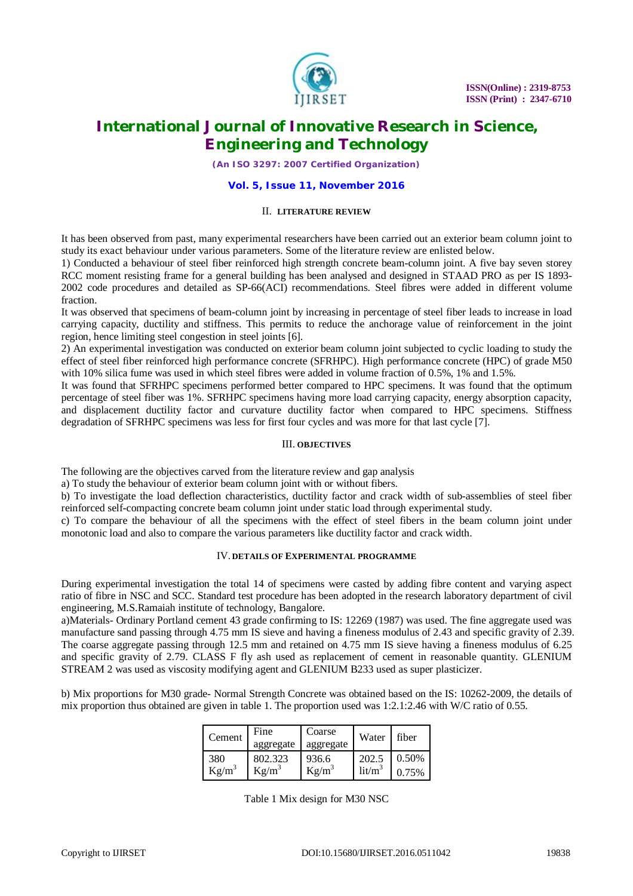

*(An ISO 3297: 2007 Certified Organization)*

#### **Vol. 5, Issue 11, November 2016**

#### II. **LITERATURE REVIEW**

It has been observed from past, many experimental researchers have been carried out an exterior beam column joint to study its exact behaviour under various parameters. Some of the literature review are enlisted below.

1) Conducted a behaviour of steel fiber reinforced high strength concrete beam-column joint. A five bay seven storey RCC moment resisting frame for a general building has been analysed and designed in STAAD PRO as per IS 1893- 2002 code procedures and detailed as SP-66(ACI) recommendations. Steel fibres were added in different volume fraction.

It was observed that specimens of beam-column joint by increasing in percentage of steel fiber leads to increase in load carrying capacity, ductility and stiffness. This permits to reduce the anchorage value of reinforcement in the joint region, hence limiting steel congestion in steel joints [6].

2) An experimental investigation was conducted on exterior beam column joint subjected to cyclic loading to study the effect of steel fiber reinforced high performance concrete (SFRHPC). High performance concrete (HPC) of grade M50 with 10% silica fume was used in which steel fibres were added in volume fraction of 0.5%, 1% and 1.5%.

It was found that SFRHPC specimens performed better compared to HPC specimens. It was found that the optimum percentage of steel fiber was 1%. SFRHPC specimens having more load carrying capacity, energy absorption capacity, and displacement ductility factor and curvature ductility factor when compared to HPC specimens. Stiffness degradation of SFRHPC specimens was less for first four cycles and was more for that last cycle [7].

### III. **OBJECTIVES**

The following are the objectives carved from the literature review and gap analysis

a) To study the behaviour of exterior beam column joint with or without fibers.

b) To investigate the load deflection characteristics, ductility factor and crack width of sub-assemblies of steel fiber reinforced self-compacting concrete beam column joint under static load through experimental study.

c) To compare the behaviour of all the specimens with the effect of steel fibers in the beam column joint under monotonic load and also to compare the various parameters like ductility factor and crack width.

### IV. **DETAILS OF EXPERIMENTAL PROGRAMME**

During experimental investigation the total 14 of specimens were casted by adding fibre content and varying aspect ratio of fibre in NSC and SCC. Standard test procedure has been adopted in the research laboratory department of civil engineering, M.S.Ramaiah institute of technology, Bangalore.

a)Materials- Ordinary Portland cement 43 grade confirming to IS: 12269 (1987) was used. The fine aggregate used was manufacture sand passing through 4.75 mm IS sieve and having a fineness modulus of 2.43 and specific gravity of 2.39. The coarse aggregate passing through 12.5 mm and retained on 4.75 mm IS sieve having a fineness modulus of 6.25 and specific gravity of 2.79. CLASS F fly ash used as replacement of cement in reasonable quantity. GLENIUM STREAM 2 was used as viscosity modifying agent and GLENIUM B233 used as super plasticizer.

b) Mix proportions for M30 grade- Normal Strength Concrete was obtained based on the IS: 10262-2009, the details of mix proportion thus obtained are given in table 1. The proportion used was 1:2.1:2.46 with W/C ratio of 0.55.

| Cement   | Fine<br>aggregate | Coarse<br>aggregate | Water              | fiber |
|----------|-------------------|---------------------|--------------------|-------|
| 380      | 802.323           | 936.6               | 202.5              | 0.50% |
| $Kg/m^3$ | $Kg/m^3$          | $Kg/m^3$            | lit/m <sup>3</sup> | 0.75% |

Table 1 Mix design for M30 NSC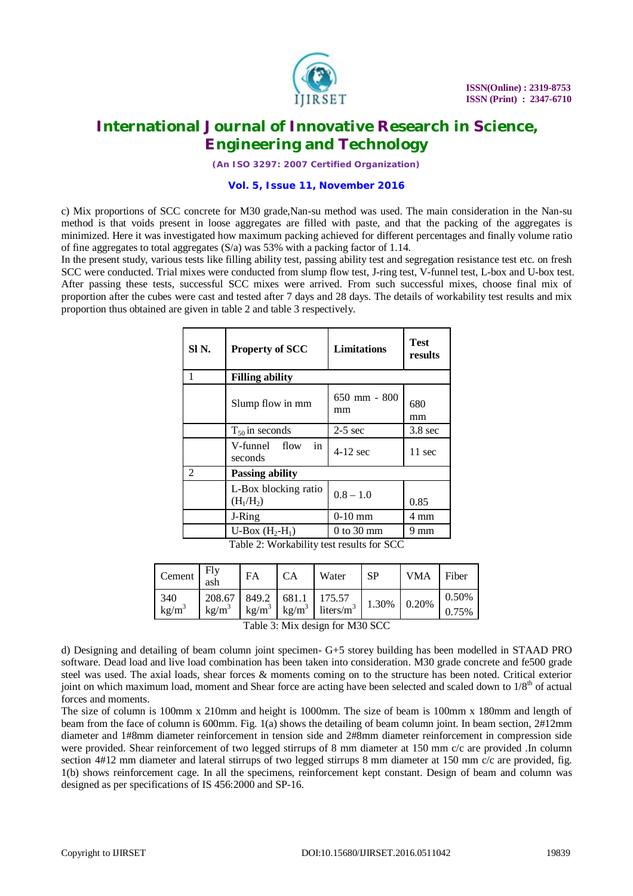

*(An ISO 3297: 2007 Certified Organization)*

#### **Vol. 5, Issue 11, November 2016**

c) Mix proportions of SCC concrete for M30 grade,Nan-su method was used. The main consideration in the Nan-su method is that voids present in loose aggregates are filled with paste, and that the packing of the aggregates is minimized. Here it was investigated how maximum packing achieved for different percentages and finally volume ratio of fine aggregates to total aggregates  $(S/a)$  was 53% with a packing factor of 1.14.

In the present study, various tests like filling ability test, passing ability test and segregation resistance test etc. on fresh SCC were conducted. Trial mixes were conducted from slump flow test, J-ring test, V-funnel test, L-box and U-box test. After passing these tests, successful SCC mixes were arrived. From such successful mixes, choose final mix of proportion after the cubes were cast and tested after 7 days and 28 days. The details of workability test results and mix proportion thus obtained are given in table 2 and table 3 respectively.

| SI <sub>N</sub> . | <b>Property of SCC</b>              | <b>Limitations</b>     | <b>Test</b><br>results |  |  |  |
|-------------------|-------------------------------------|------------------------|------------------------|--|--|--|
| 1                 | <b>Filling ability</b>              |                        |                        |  |  |  |
|                   | Slump flow in mm                    | 650 mm - 800<br>mm     | 680<br>mm              |  |  |  |
|                   | $T_{50}$ in seconds                 | $2-5$ sec              | $3.8 \text{ sec}$      |  |  |  |
|                   | in<br>V-funnel flow<br>seconds      | $4-12$ sec             | 11 sec                 |  |  |  |
| $\mathfrak{D}$    | <b>Passing ability</b>              |                        |                        |  |  |  |
|                   | L-Box blocking ratio<br>$(H_1/H_2)$ | $0.8 - 1.0$            | 0.85                   |  |  |  |
|                   | J-Ring                              | $0-10$ mm              | 4 mm                   |  |  |  |
|                   | U-Box $(H_2-H_1)$                   | $0$ to $30 \text{ mm}$ | 9 mm                   |  |  |  |

Table 2: Workability test results for SCC

| Cement          | Flv<br>ash         | FA                         |       | Water                                           | <b>SP</b> | <b>VMA</b> | Fiber          |
|-----------------|--------------------|----------------------------|-------|-------------------------------------------------|-----------|------------|----------------|
| 340<br>$kg/m^3$ | 208.67<br>$kg/m^3$ | 849.2<br>kg/m <sup>3</sup> | 681.1 | 175.57<br>$\text{kg/m}^3$ liters/m <sup>3</sup> | 1.30%     | 0.20%      | 0.50%<br>0.75% |

Table 3: Mix design for M30 SCC

d) Designing and detailing of beam column joint specimen- G+5 storey building has been modelled in STAAD PRO software. Dead load and live load combination has been taken into consideration. M30 grade concrete and fe500 grade steel was used. The axial loads, shear forces & moments coming on to the structure has been noted. Critical exterior joint on which maximum load, moment and Shear force are acting have been selected and scaled down to 1/8<sup>th</sup> of actual forces and moments.

The size of column is 100mm x 210mm and height is 1000mm. The size of beam is 100mm x 180mm and length of beam from the face of column is 600mm. Fig. 1(a) shows the detailing of beam column joint. In beam section, 2#12mm diameter and 1#8mm diameter reinforcement in tension side and 2#8mm diameter reinforcement in compression side were provided. Shear reinforcement of two legged stirrups of 8 mm diameter at 150 mm c/c are provided .In column section 4#12 mm diameter and lateral stirrups of two legged stirrups 8 mm diameter at 150 mm c/c are provided, fig. 1(b) shows reinforcement cage. In all the specimens, reinforcement kept constant. Design of beam and column was designed as per specifications of IS 456:2000 and SP-16.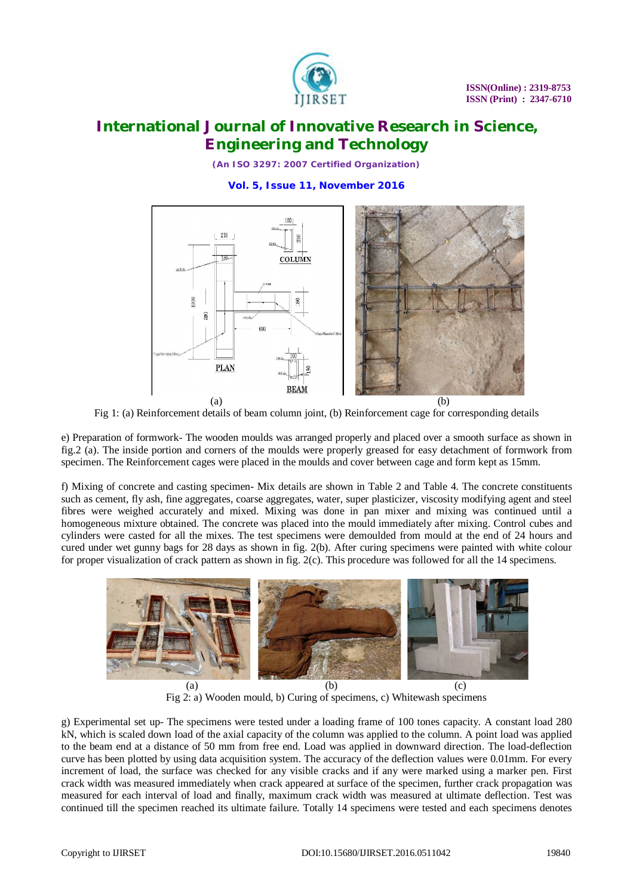

*(An ISO 3297: 2007 Certified Organization)*

**Vol. 5, Issue 11, November 2016**



Fig 1: (a) Reinforcement details of beam column joint, (b) Reinforcement cage for corresponding details

e) Preparation of formwork- The wooden moulds was arranged properly and placed over a smooth surface as shown in fig.2 (a). The inside portion and corners of the moulds were properly greased for easy detachment of formwork from specimen. The Reinforcement cages were placed in the moulds and cover between cage and form kept as 15mm.

f) Mixing of concrete and casting specimen- Mix details are shown in Table 2 and Table 4. The concrete constituents such as cement, fly ash, fine aggregates, coarse aggregates, water, super plasticizer, viscosity modifying agent and steel fibres were weighed accurately and mixed. Mixing was done in pan mixer and mixing was continued until a homogeneous mixture obtained. The concrete was placed into the mould immediately after mixing. Control cubes and cylinders were casted for all the mixes. The test specimens were demoulded from mould at the end of 24 hours and cured under wet gunny bags for 28 days as shown in fig. 2(b). After curing specimens were painted with white colour for proper visualization of crack pattern as shown in fig. 2(c). This procedure was followed for all the 14 specimens.



Fig 2: a) Wooden mould, b) Curing of specimens, c) Whitewash specimens

g) Experimental set up- The specimens were tested under a loading frame of 100 tones capacity. A constant load 280 kN, which is scaled down load of the axial capacity of the column was applied to the column. A point load was applied to the beam end at a distance of 50 mm from free end. Load was applied in downward direction. The load-deflection curve has been plotted by using data acquisition system. The accuracy of the deflection values were 0.01mm. For every increment of load, the surface was checked for any visible cracks and if any were marked using a marker pen. First crack width was measured immediately when crack appeared at surface of the specimen, further crack propagation was measured for each interval of load and finally, maximum crack width was measured at ultimate deflection. Test was continued till the specimen reached its ultimate failure. Totally 14 specimens were tested and each specimens denotes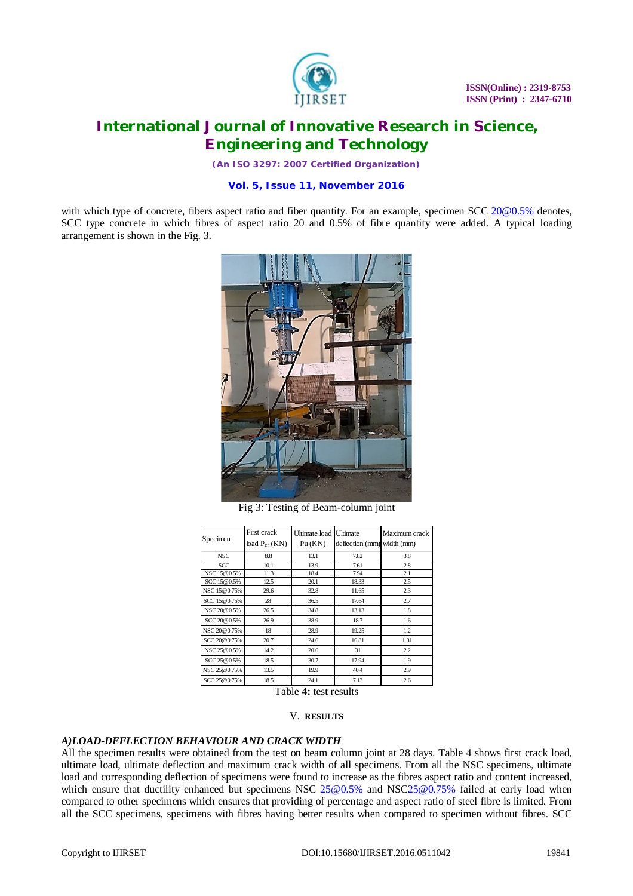

*(An ISO 3297: 2007 Certified Organization)*

#### **Vol. 5, Issue 11, November 2016**

with which type of concrete, fibers aspect ratio and fiber quantity. For an example, specimen  $SCC 20@0.5%$  $SCC 20@0.5%$  denotes, SCC type concrete in which fibres of aspect ratio 20 and 0.5% of fibre quantity were added. A typical loading arrangement is shown in the Fig. 3.



Fig 3: Testing of Beam-column joint

| Specimen     | First crack<br>$bad P_{cr}$ (KN) | Ultimate load<br>Pu(KN) | Ultimate<br>deflection (mm) width (mm) | Maximum crack |
|--------------|----------------------------------|-------------------------|----------------------------------------|---------------|
| <b>NSC</b>   | 8.8                              | 13.1                    | 7.82                                   | 3.8           |
| <b>SCC</b>   | 10.1                             | 13.9                    | 7.61                                   | 2.8           |
| NSC 15@0.5%  | 11.3                             | 18.4                    | 7.94                                   | 2.1           |
| SCC 15@0.5%  | 12.5                             | 20.1                    | 18.33                                  | 2.5           |
| NSC 15@0.75% | 29.6                             | 32.8                    | 11.65                                  | 2.3           |
| SCC 15@0.75% | 28                               | 36.5                    | 17.64                                  | 2.7           |
| NSC 20@0.5%  | 26.5                             | 34.8                    | 13.13                                  | 1.8           |
| SCC 20@0.5%  | 26.9                             | 38.9                    | 18.7                                   | 1.6           |
| NSC 20@0.75% | 18                               | 28.9                    | 19.25                                  | 1.2           |
| SCC 20@0.75% | 20.7                             | 24.6                    | 16.81                                  | 1.31          |
| NSC 25@0.5%  | 14.2                             | 20.6                    | 31                                     | 2.2           |
| SCC 25@0.5%  | 18.5                             | 30.7                    | 17.94                                  | 1.9           |
| NSC 25@0.75% | 13.5                             | 19.9                    | 40.4                                   | 2.9           |
| SCC 25@0.75% | 18.5                             | 24.1                    | 7.13                                   | 2.6           |

Table 4**:** test results

#### V. **RESULTS**

#### *A)LOAD-DEFLECTION BEHAVIOUR AND CRACK WIDTH*

All the specimen results were obtained from the test on beam column joint at 28 days. Table 4 shows first crack load, ultimate load, ultimate deflection and maximum crack width of all specimens. From all the NSC specimens, ultimate load and corresponding deflection of specimens were found to increase as the fibres aspect ratio and content increased, which ensure that ductility enhanced but specimens NSC  $25@0.5%$  and NSC  $25@0.75%$  failed at early load when compared to other specimens which ensures that providing of percentage and aspect ratio of steel fibre is limited. From all the SCC specimens, specimens with fibres having better results when compared to specimen without fibres. SCC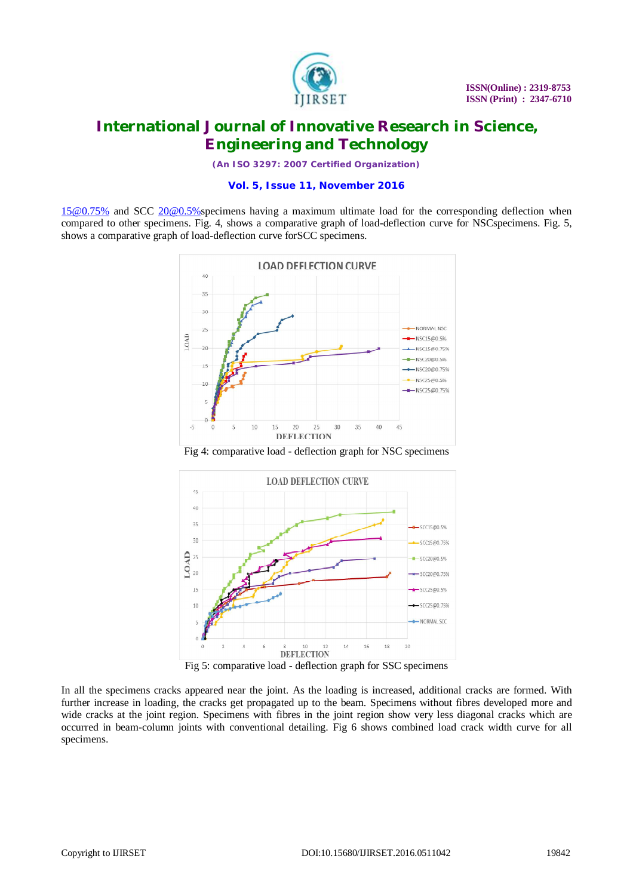

*(An ISO 3297: 2007 Certified Organization)*

#### **Vol. 5, Issue 11, November 2016**

[15@0.75%](mailto:15@0.75%) and SCC [20@0.5%specimens](mailto:20@0.5%specimens) having a maximum ultimate load for the corresponding deflection when compared to other specimens. Fig. 4, shows a comparative graph of load-deflection curve for NSCspecimens. Fig. 5, shows a comparative graph of load-deflection curve forSCC specimens.



Fig 4: comparative load - deflection graph for NSC specimens



Fig 5: comparative load - deflection graph for SSC specimens

In all the specimens cracks appeared near the joint. As the loading is increased, additional cracks are formed. With further increase in loading, the cracks get propagated up to the beam. Specimens without fibres developed more and wide cracks at the joint region. Specimens with fibres in the joint region show very less diagonal cracks which are occurred in beam-column joints with conventional detailing. Fig 6 shows combined load crack width curve for all specimens.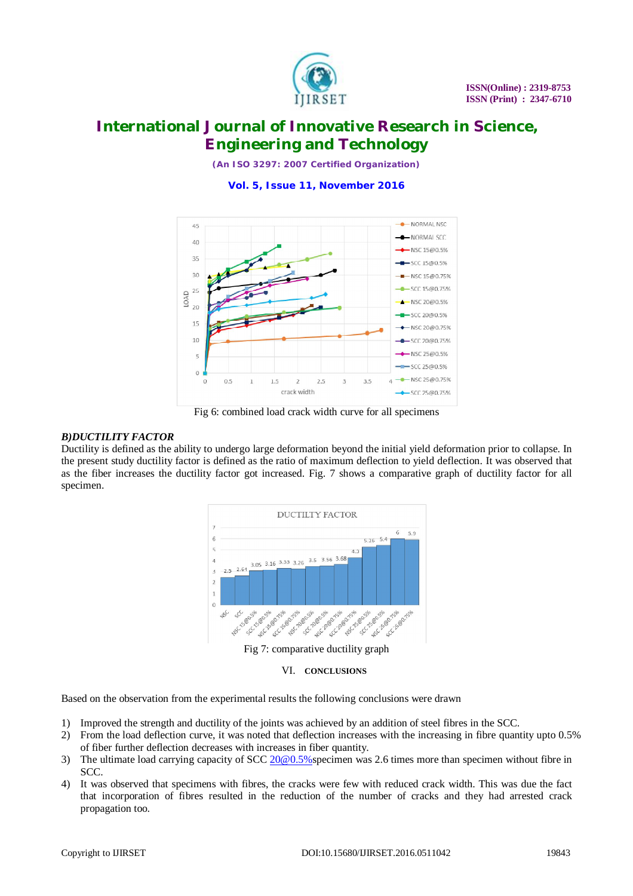

*(An ISO 3297: 2007 Certified Organization)*

**Vol. 5, Issue 11, November 2016**



Fig 6: combined load crack width curve for all specimens

### *B)DUCTILITY FACTOR*

Ductility is defined as the ability to undergo large deformation beyond the initial yield deformation prior to collapse. In the present study ductility factor is defined as the ratio of maximum deflection to yield deflection. It was observed that as the fiber increases the ductility factor got increased. Fig. 7 shows a comparative graph of ductility factor for all specimen.



VI. **CONCLUSIONS**

Based on the observation from the experimental results the following conclusions were drawn

- 1) Improved the strength and ductility of the joints was achieved by an addition of steel fibres in the SCC.
- 2) From the load deflection curve, it was noted that deflection increases with the increasing in fibre quantity upto 0.5% of fiber further deflection decreases with increases in fiber quantity.
- 3) The ultimate load carrying capacity of SCC 20@0.5% specimen was 2.6 times more than specimen without fibre in SCC.
- 4) It was observed that specimens with fibres, the cracks were few with reduced crack width. This was due the fact that incorporation of fibres resulted in the reduction of the number of cracks and they had arrested crack propagation too.